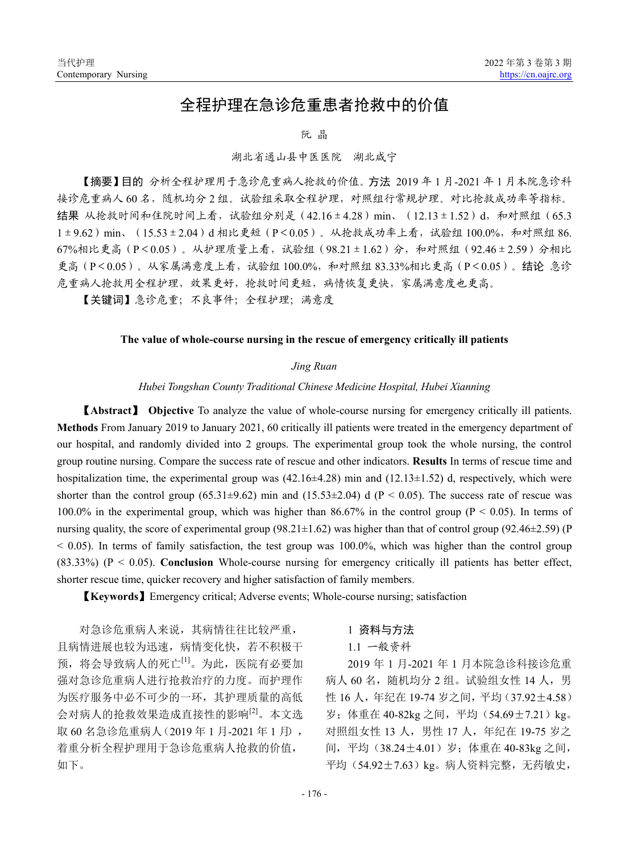# 全程护理在急诊危重患者抢救中的价值

### 阮 晶

## 湖北省通山县中医医院 湖北咸宁

【摘要】目的 分析全程护理用于急诊危重病人抢救的价值。方法 2019 年 1 月-2021 年 1 月本院急诊科 接诊危重病人 60 名,随机均分 2 组。试验组采取全程护理,对照组行常规护理。对比抢救成功率等指标。 结果 从抢救时间和住院时间上看, 试验组分别是 (42.16±4.28) min、 (12.13±1.52)d, 和对照组 (65.3 1±9.62) min、(15.53±2.04)d 相比更短(P<0.05)。从抢救成功率上看, 试验组 100.0%, 和对照组 86. 67%相比更高(P<0.05)。从护理质量上看,试验组(98.21±1.62)分,和对照组(92.46±2.59)分相比 更高(P<0.05)。从家属满意度上看, 试验组 100.0%, 和对照组 83.33%相比更高(P<0.05)。结论 急诊 危重病人抢救用全程护理,效果更好,抢救时间更短,病情恢复更快,家属满意度也更高。

【关键词】急诊危重;不良事件;全程护理;满意度

#### **The value of whole-course nursing in the rescue of emergency critically ill patients**

#### *Jing Ruan*

*Hubei Tongshan County Traditional Chinese Medicine Hospital, Hubei Xianning*

【**Abstract**】 **Objective** To analyze the value of whole-course nursing for emergency critically ill patients. **Methods** From January 2019 to January 2021, 60 critically ill patients were treated in the emergency department of our hospital, and randomly divided into 2 groups. The experimental group took the whole nursing, the control group routine nursing. Compare the success rate of rescue and other indicators. **Results** In terms of rescue time and hospitalization time, the experimental group was  $(42.16\pm4.28)$  min and  $(12.13\pm1.52)$  d, respectively, which were shorter than the control group (65.31±9.62) min and (15.53±2.04) d (P < 0.05). The success rate of rescue was 100.0% in the experimental group, which was higher than 86.67% in the control group ( $P < 0.05$ ). In terms of nursing quality, the score of experimental group (98.21 $\pm$ 1.62) was higher than that of control group (92.46 $\pm$ 2.59) (P  $<$  0.05). In terms of family satisfaction, the test group was 100.0%, which was higher than the control group (83.33%) (P < 0.05). **Conclusion** Whole-course nursing for emergency critically ill patients has better effect, shorter rescue time, quicker recovery and higher satisfaction of family members.

【**Keywords**】Emergency critical; Adverse events; Whole-course nursing; satisfaction

对急诊危重病人来说,其病情往往比较严重, 且病情进展也较为迅速,病情变化快,若不积极干 预,将会导致病人的死亡[1]。为此,医院有必要加 强对急诊危重病人进行抢救治疗的力度。而护理作 为医疗服务中必不可少的一环,其护理质量的高低 会对病人的抢救效果造成直接性的影响[2]。本文选 取 60 名急诊危重病人(2019年1月-2021年1月), 着重分析全程护理用于急诊危重病人抢救的价值, 如下。

## 1 资料与方法

## 1.1 一般资料

2019 年 1 月-2021 年 1 月本院急诊科接诊危重 病人 60 名, 随机均分 2 组。试验组女性 14 人, 男 性 16 人,年纪在 19-74 岁之间,平均(37.92±4.58) 岁; 体重在 40-82kg 之间, 平均 (54.69±7.21) kg。 对照组女性 13 人, 男性 17 人, 年纪在 19-75 岁之 间, 平均 (38.24±4.01) 岁; 体重在 40-83kg 之间, 平均 (54.92±7.63) kg。 病人资料完整, 无药敏史,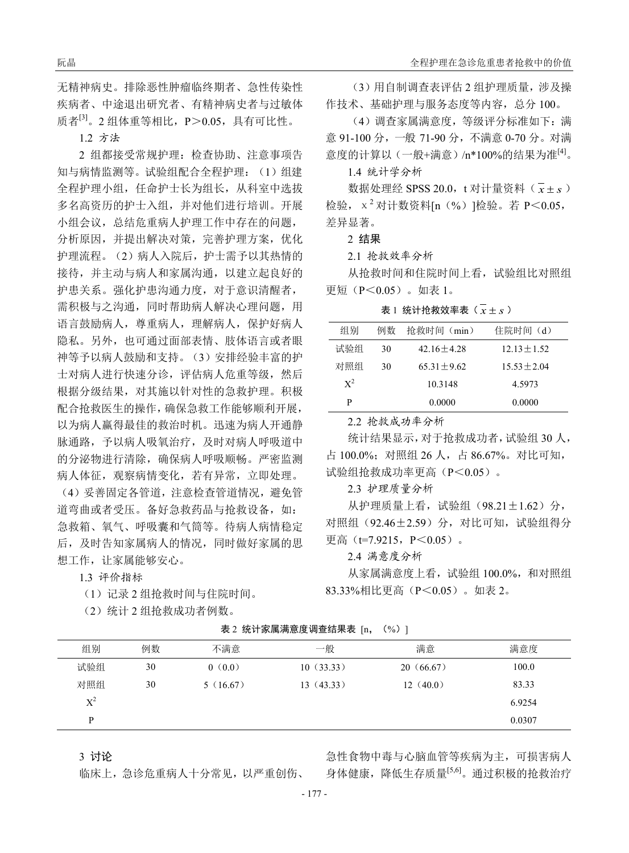无精神病史。排除恶性肿瘤临终期者、急性传染性 疾病者、中途退出研究者、有精神病史者与过敏体 质者<sup>[3]</sup>。2组体重等相比, P>0.05, 具有可比性。

1.2 方法

2 组都接受常规护理:检查协助、注意事项告 知与病情监测等。试验组配合全程护理: (1)组建 全程护理小组,任命护士长为组长,从科室中选拔 多名高资历的护士入组,并对他们进行培训。开展 小组会议,总结危重病人护理工作中存在的问题, 分析原因,并提出解决对策,完善护理方案,优化 护理流程。(2)病人入院后,护士需予以其热情的 接待,并主动与病人和家属沟通,以建立起良好的 护患关系。强化护患沟通力度,对于意识清醒者, 需积极与之沟通,同时帮助病人解决心理问题,用 语言鼓励病人,尊重病人,理解病人,保护好病人 隐私。另外,也可通过面部表情、肢体语言或者眼 神等予以病人鼓励和支持。(3)安排经验丰富的护 士对病人进行快速分诊,评估病人危重等级,然后 根据分级结果,对其施以针对性的急救护理。积极 配合抢救医生的操作,确保急救工作能够顺利开展, 以为病人赢得最佳的救治时机。迅速为病人开通静 脉通路,予以病人吸氧治疗,及时对病人呼吸道中 的分泌物进行清除,确保病人呼吸顺畅。严密监测 病人体征,观察病情变化,若有异常,立即处理。

(4)妥善固定各管道,注意检查管道情况,避免管 道弯曲或者受压。备好急救药品与抢救设备,如: 急救箱、氧气、呼吸囊和气筒等。待病人病情稳定 后,及时告知家属病人的情况,同时做好家属的思 想工作,让家属能够安心。

1.3 评价指标

(1)记录 2 组抢救时间与住院时间。

(2)统计 2 组抢救成功者例数。

(3)用自制调查表评估 2 组护理质量,涉及操 作技术、基础护理与服务态度等内容,总分 100。

(4)调查家属满意度,等级评分标准如下:满 意 91-100 分,一般 71-90 分,不满意 0-70 分。对满 意度的计算以(一般+满意)/n\*100%的结果为准<sup>[4]</sup>。

1.4 统计学分析

数据处理经 SPSS 20.0, t 对计量资料 (  $\bar{x}$  ± *s* ) 检验, $x^2$ 对计数资料[n(%)]检验。若 P<0.05, 差异显著。

2 结果

2.1 抢救效率分析

从抢救时间和住院时间上看,试验组比对照组 更短(P<0.05)。如表 1。

表 1 统计抢救效率表  $(\bar{x} \pm s)$ 

| 组别    | 例数 | 抢救时间(min)      | 住院时间(d)          |
|-------|----|----------------|------------------|
| 试验组   | 30 | $42.16 + 4.28$ | $12.13 \pm 1.52$ |
| 对照组   | 30 | $65.31 + 9.62$ | $15.53 \pm 2.04$ |
| $X^2$ |    | 10.3148        | 4.5973           |
| P     |    | 0.0000         | 0.0000           |
|       |    |                |                  |

2.2 抢救成功率分析

统计结果显示,对于抢救成功者,试验组 30 人, 占 100.0%;对照组 26 人,占 86.67%。对比可知, 试验组抢救成功率更高(P<0.05)。

2.3 护理质量分析

从护理质量上看,试验组(98.21±1.62)分, 对照组(92.46±2.59)分,对比可知,试验组得分 更高 (t=7.9215, P<0.05).

2.4 满意度分析

从家属满意度上看,试验组 100.0%,和对照组 83.33%相比更高(P<0.05)。如表 2。

表 2 统计家属满意度调查结果表 [n, (%) ]

| 组别          | 例数 | 不满意      | 一般        | 满意        | 满意度    |
|-------------|----|----------|-----------|-----------|--------|
| 试验组         | 30 | 0(0.0)   | 10(33.33) | 20(66.67) | 100.0  |
| 对照组         | 30 | 5(16.67) | 13(43.33) | 12(40.0)  | 83.33  |
| $\rm\,X}^2$ |    |          |           |           | 6.9254 |
| D           |    |          |           |           | 0.0307 |

3 讨论

临床上,急诊危重病人十分常见,以严重创伤、

急性食物中毒与心脑血管等疾病为主,可损害病人 身体健康,降低生存质量[5,6]。通过积极的抢救治疗